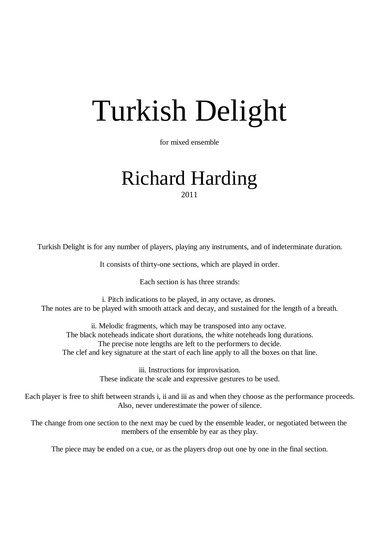## Turkish Delight

for mixed ensemble

## Richard Harding 2011

Turkish Delight is for any number of players, playing any instruments, and of indeterminate duration.

It consists of thirty-one sections, which are played in order.

Each section is has three strands:

i. Pitch indications to be played, in any octave, as drones. The notes are to be played with smooth attack and decay, and sustained for the length of a breath.

ii. Melodic fragments, which may be transposed into any octave. The black noteheads indicate short durations, the white noteheads long durations. The precise note lengths are left to the performers to decide. The clef and key signature at the start of each line apply to all the boxes on that line.

> iii. Instructions for improvisation. These indicate the scale and expressive gestures to be used.

Each player is free to shift between strands i, ii and iii as and when they choose as the performance proceeds. Also, never underestimate the power of silence.

The change from one section to the next may be cued by the ensemble leader, or negotiated between the members of the ensemble by ear as they play.

The piece may be ended on a cue, or as the players drop out one by one in the final section.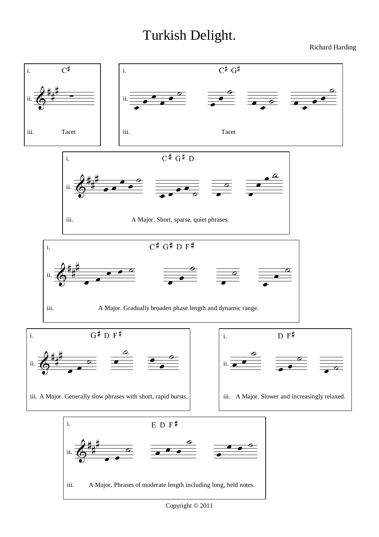## Turkish Delight.

Richard Harding

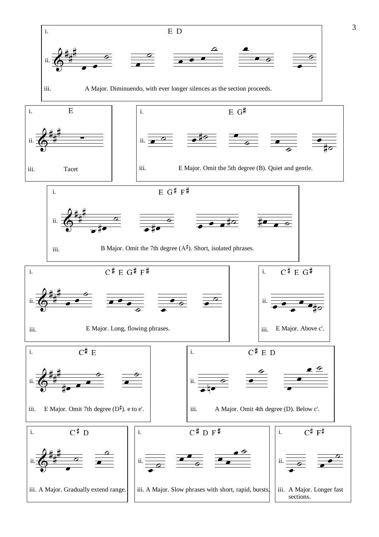